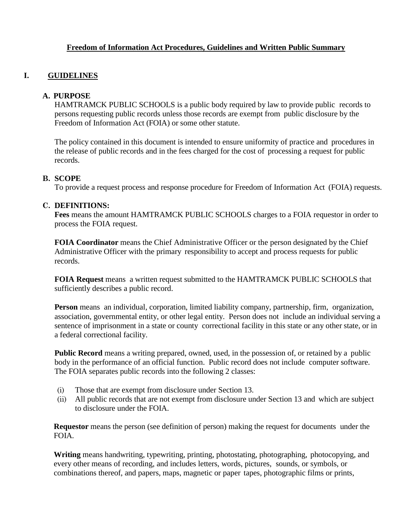# **Freedom of Information Act Procedures, Guidelines and Written Public Summary**

# **I. GUIDELINES**

#### **A. PURPOSE**

HAMTRAMCK PUBLIC SCHOOLS is a public body required by law to provide public records to persons requesting public records unless those records are exempt from public disclosure by the Freedom of Information Act (FOIA) or some other statute.

The policy contained in this document is intended to ensure uniformity of practice and procedures in the release of public records and in the fees charged for the cost of processing a request for public records.

#### **B. SCOPE**

To provide a request process and response procedure for Freedom of Information Act (FOIA) requests.

#### **C. DEFINITIONS:**

**Fees** means the amount HAMTRAMCK PUBLIC SCHOOLS charges to a FOIA requestor in order to process the FOIA request.

**FOIA Coordinator** means the Chief Administrative Officer or the person designated by the Chief Administrative Officer with the primary responsibility to accept and process requests for public records.

**FOIA Request** means a written request submitted to the HAMTRAMCK PUBLIC SCHOOLS that sufficiently describes a public record.

**Person** means an individual, corporation, limited liability company, partnership, firm, organization, association, governmental entity, or other legal entity. Person does not include an individual serving a sentence of imprisonment in a state or county correctional facility in this state or any other state, or in a federal correctional facility.

**Public Record** means a writing prepared, owned, used, in the possession of, or retained by a public body in the performance of an official function. Public record does not include computer software. The FOIA separates public records into the following 2 classes:

- (i) Those that are exempt from disclosure under Section 13.
- (ii) All public records that are not exempt from disclosure under Section 13 and which are subject to disclosure under the FOIA.

**Requestor** means the person (see definition of person) making the request for documents under the FOIA.

**Writing** means handwriting, typewriting, printing, photostating, photographing, photocopying, and every other means of recording, and includes letters, words, pictures, sounds, or symbols, or combinations thereof, and papers, maps, magnetic or paper tapes, photographic films or prints,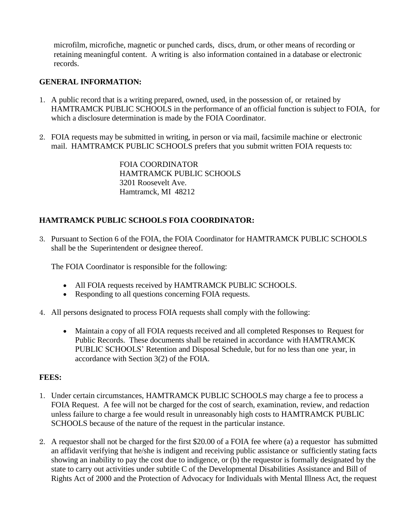microfilm, microfiche, magnetic or punched cards, discs, drum, or other means of recording or retaining meaningful content. A writing is also information contained in a database or electronic records.

# **GENERAL INFORMATION:**

- 1. A public record that is a writing prepared, owned, used, in the possession of, or retained by HAMTRAMCK PUBLIC SCHOOLS in the performance of an official function is subject to FOIA, for which a disclosure determination is made by the FOIA Coordinator.
- 2. FOIA requests may be submitted in writing, in person or via mail, facsimile machine or electronic mail. HAMTRAMCK PUBLIC SCHOOLS prefers that you submit written FOIA requests to:

FOIA COORDINATOR HAMTRAMCK PUBLIC SCHOOLS 3201 Roosevelt Ave. Hamtramck, MI 48212

# **HAMTRAMCK PUBLIC SCHOOLS FOIA COORDINATOR:**

3. Pursuant to Section 6 of the FOIA, the FOIA Coordinator for HAMTRAMCK PUBLIC SCHOOLS shall be the Superintendent or designee thereof.

The FOIA Coordinator is responsible for the following:

- All FOIA requests received by HAMTRAMCK PUBLIC SCHOOLS.
- Responding to all questions concerning FOIA requests.
- 4. All persons designated to process FOIA requests shall comply with the following:
	- Maintain a copy of all FOIA requests received and all completed Responses to Request for Public Records. These documents shall be retained in accordance with HAMTRAMCK PUBLIC SCHOOLS' Retention and Disposal Schedule, but for no less than one year, in accordance with Section 3(2) of the FOIA.

# **FEES:**

- 1. Under certain circumstances, HAMTRAMCK PUBLIC SCHOOLS may charge a fee to process a FOIA Request. A fee will not be charged for the cost of search, examination, review, and redaction unless failure to charge a fee would result in unreasonably high costs to HAMTRAMCK PUBLIC SCHOOLS because of the nature of the request in the particular instance.
- 2. A requestor shall not be charged for the first \$20.00 of a FOIA fee where (a) a requestor has submitted an affidavit verifying that he/she is indigent and receiving public assistance or sufficiently stating facts showing an inability to pay the cost due to indigence, or (b) the requestor is formally designated by the state to carry out activities under subtitle C of the Developmental Disabilities Assistance and Bill of Rights Act of 2000 and the Protection of Advocacy for Individuals with Mental Illness Act, the request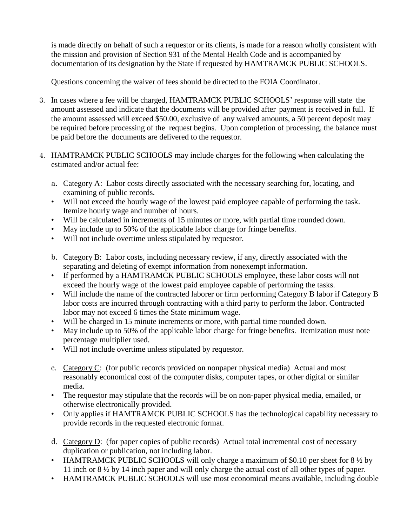is made directly on behalf of such a requestor or its clients, is made for a reason wholly consistent with the mission and provision of Section 931 of the Mental Health Code and is accompanied by documentation of its designation by the State if requested by HAMTRAMCK PUBLIC SCHOOLS.

Questions concerning the waiver of fees should be directed to the FOIA Coordinator.

- 3. In cases where a fee will be charged, HAMTRAMCK PUBLIC SCHOOLS' response will state the amount assessed and indicate that the documents will be provided after payment is received in full. If the amount assessed will exceed \$50.00, exclusive of any waived amounts, a 50 percent deposit may be required before processing of the request begins. Upon completion of processing, the balance must be paid before the documents are delivered to the requestor.
- 4. HAMTRAMCK PUBLIC SCHOOLS may include charges for the following when calculating the estimated and/or actual fee:
	- a. Category A: Labor costs directly associated with the necessary searching for, locating, and examining of public records.
	- Will not exceed the hourly wage of the lowest paid employee capable of performing the task. Itemize hourly wage and number of hours.
	- Will be calculated in increments of 15 minutes or more, with partial time rounded down.
	- May include up to 50% of the applicable labor charge for fringe benefits.
	- Will not include overtime unless stipulated by requestor.
	- b. Category B: Labor costs, including necessary review, if any, directly associated with the separating and deleting of exempt information from nonexempt information.
	- If performed by a HAMTRAMCK PUBLIC SCHOOLS employee, these labor costs will not exceed the hourly wage of the lowest paid employee capable of performing the tasks.
	- Will include the name of the contracted laborer or firm performing Category B labor if Category B labor costs are incurred through contracting with a third party to perform the labor. Contracted labor may not exceed 6 times the State minimum wage.
	- Will be charged in 15 minute increments or more, with partial time rounded down.
	- May include up to 50% of the applicable labor charge for fringe benefits. Itemization must note percentage multiplier used.
	- Will not include overtime unless stipulated by requestor.
	- c. Category C: (for public records provided on nonpaper physical media) Actual and most reasonably economical cost of the computer disks, computer tapes, or other digital or similar media.
	- The requestor may stipulate that the records will be on non-paper physical media, emailed, or otherwise electronically provided.
	- Only applies if HAMTRAMCK PUBLIC SCHOOLS has the technological capability necessary to provide records in the requested electronic format.
	- d. Category D: (for paper copies of public records) Actual total incremental cost of necessary duplication or publication, not including labor.
	- HAMTRAMCK PUBLIC SCHOOLS will only charge a maximum of \$0.10 per sheet for  $8\frac{1}{2}$  by 11 inch or 8 ½ by 14 inch paper and will only charge the actual cost of all other types of paper.
	- HAMTRAMCK PUBLIC SCHOOLS will use most economical means available, including double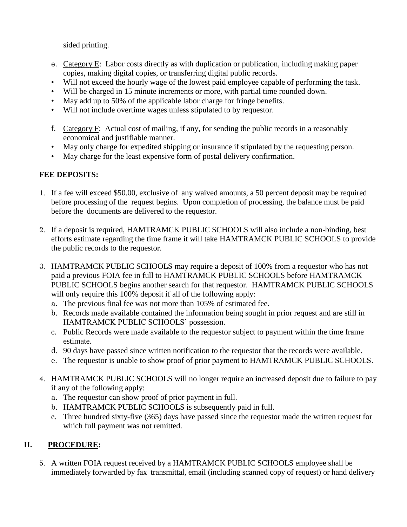sided printing.

- e. Category E: Labor costs directly as with duplication or publication, including making paper copies, making digital copies, or transferring digital public records.
- Will not exceed the hourly wage of the lowest paid employee capable of performing the task.
- Will be charged in 15 minute increments or more, with partial time rounded down.
- May add up to 50% of the applicable labor charge for fringe benefits.
- Will not include overtime wages unless stipulated to by requestor.
- f. Category F: Actual cost of mailing, if any, for sending the public records in a reasonably economical and justifiable manner.
- May only charge for expedited shipping or insurance if stipulated by the requesting person.
- May charge for the least expensive form of postal delivery confirmation.

# **FEE DEPOSITS:**

- 1. If a fee will exceed \$50.00, exclusive of any waived amounts, a 50 percent deposit may be required before processing of the request begins. Upon completion of processing, the balance must be paid before the documents are delivered to the requestor.
- 2. If a deposit is required, HAMTRAMCK PUBLIC SCHOOLS will also include a non-binding, best efforts estimate regarding the time frame it will take HAMTRAMCK PUBLIC SCHOOLS to provide the public records to the requestor.
- 3. HAMTRAMCK PUBLIC SCHOOLS may require a deposit of 100% from a requestor who has not paid a previous FOIA fee in full to HAMTRAMCK PUBLIC SCHOOLS before HAMTRAMCK PUBLIC SCHOOLS begins another search for that requestor. HAMTRAMCK PUBLIC SCHOOLS will only require this 100% deposit if all of the following apply:
	- a. The previous final fee was not more than 105% of estimated fee.
	- b. Records made available contained the information being sought in prior request and are still in HAMTRAMCK PUBLIC SCHOOLS' possession.
	- c. Public Records were made available to the requestor subject to payment within the time frame estimate.
	- d. 90 days have passed since written notification to the requestor that the records were available.
	- e. The requestor is unable to show proof of prior payment to HAMTRAMCK PUBLIC SCHOOLS.
- 4. HAMTRAMCK PUBLIC SCHOOLS will no longer require an increased deposit due to failure to pay if any of the following apply:
	- a. The requestor can show proof of prior payment in full.
	- b. HAMTRAMCK PUBLIC SCHOOLS is subsequently paid in full.
	- c. Three hundred sixty-five (365) days have passed since the requestor made the written request for which full payment was not remitted.

# **II. PROCEDURE:**

5. A written FOIA request received by a HAMTRAMCK PUBLIC SCHOOLS employee shall be immediately forwarded by fax transmittal, email (including scanned copy of request) or hand delivery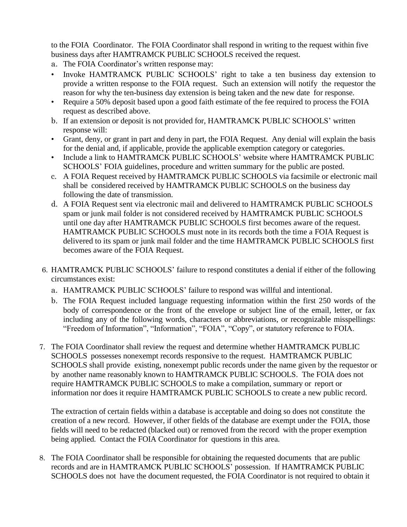to the FOIA Coordinator. The FOIA Coordinator shall respond in writing to the request within five business days after HAMTRAMCK PUBLIC SCHOOLS received the request.

- a. The FOIA Coordinator's written response may:
- Invoke HAMTRAMCK PUBLIC SCHOOLS' right to take a ten business day extension to provide a written response to the FOIA request. Such an extension will notify the requestor the reason for why the ten-business day extension is being taken and the new date for response.
- Require a 50% deposit based upon a good faith estimate of the fee required to process the FOIA request as described above.
- b. If an extension or deposit is not provided for, HAMTRAMCK PUBLIC SCHOOLS' written response will:
- Grant, deny, or grant in part and deny in part, the FOIA Request. Any denial will explain the basis for the denial and, if applicable, provide the applicable exemption category or categories.
- Include a link to HAMTRAMCK PUBLIC SCHOOLS' website where HAMTRAMCK PUBLIC SCHOOLS' FOIA guidelines, procedure and written summary for the public are posted.
- c. A FOIA Request received by HAMTRAMCK PUBLIC SCHOOLS via facsimile or electronic mail shall be considered received by HAMTRAMCK PUBLIC SCHOOLS on the business day following the date of transmission.
- d. A FOIA Request sent via electronic mail and delivered to HAMTRAMCK PUBLIC SCHOOLS spam or junk mail folder is not considered received by HAMTRAMCK PUBLIC SCHOOLS until one day after HAMTRAMCK PUBLIC SCHOOLS first becomes aware of the request. HAMTRAMCK PUBLIC SCHOOLS must note in its records both the time a FOIA Request is delivered to its spam or junk mail folder and the time HAMTRAMCK PUBLIC SCHOOLS first becomes aware of the FOIA Request.
- 6. HAMTRAMCK PUBLIC SCHOOLS' failure to respond constitutes a denial if either of the following circumstances exist:
	- a. HAMTRAMCK PUBLIC SCHOOLS' failure to respond was willful and intentional.
	- b. The FOIA Request included language requesting information within the first 250 words of the body of correspondence or the front of the envelope or subject line of the email, letter, or fax including any of the following words, characters or abbreviations, or recognizable misspellings: "Freedom of Information", "Information", "FOIA", "Copy", or statutory reference to FOIA.
- 7. The FOIA Coordinator shall review the request and determine whether HAMTRAMCK PUBLIC SCHOOLS possesses nonexempt records responsive to the request. HAMTRAMCK PUBLIC SCHOOLS shall provide existing, nonexempt public records under the name given by the requestor or by another name reasonably known to HAMTRAMCK PUBLIC SCHOOLS. The FOIA does not require HAMTRAMCK PUBLIC SCHOOLS to make a compilation, summary or report or information nor does it require HAMTRAMCK PUBLIC SCHOOLS to create a new public record.

The extraction of certain fields within a database is acceptable and doing so does not constitute the creation of a new record. However, if other fields of the database are exempt under the FOIA, those fields will need to be redacted (blacked out) or removed from the record with the proper exemption being applied. Contact the FOIA Coordinator for questions in this area.

8. The FOIA Coordinator shall be responsible for obtaining the requested documents that are public records and are in HAMTRAMCK PUBLIC SCHOOLS' possession. If HAMTRAMCK PUBLIC SCHOOLS does not have the document requested, the FOIA Coordinator is not required to obtain it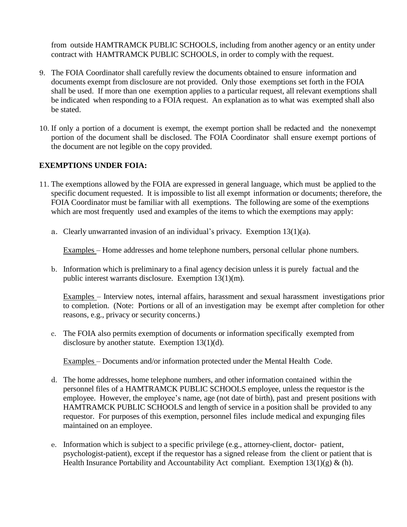from outside HAMTRAMCK PUBLIC SCHOOLS, including from another agency or an entity under contract with HAMTRAMCK PUBLIC SCHOOLS, in order to comply with the request.

- 9. The FOIA Coordinator shall carefully review the documents obtained to ensure information and documents exempt from disclosure are not provided. Only those exemptions set forth in the FOIA shall be used. If more than one exemption applies to a particular request, all relevant exemptions shall be indicated when responding to a FOIA request. An explanation as to what was exempted shall also be stated.
- 10. If only a portion of a document is exempt, the exempt portion shall be redacted and the nonexempt portion of the document shall be disclosed. The FOIA Coordinator shall ensure exempt portions of the document are not legible on the copy provided.

#### **EXEMPTIONS UNDER FOIA:**

- 11. The exemptions allowed by the FOIA are expressed in general language, which must be applied to the specific document requested. It is impossible to list all exempt information or documents; therefore, the FOIA Coordinator must be familiar with all exemptions. The following are some of the exemptions which are most frequently used and examples of the items to which the exemptions may apply:
	- a. Clearly unwarranted invasion of an individual's privacy. Exemption 13(1)(a).

Examples – Home addresses and home telephone numbers, personal cellular phone numbers.

b. Information which is preliminary to a final agency decision unless it is purely factual and the public interest warrants disclosure. Exemption 13(1)(m).

Examples – Interview notes, internal affairs, harassment and sexual harassment investigations prior to completion. (Note: Portions or all of an investigation may be exempt after completion for other reasons, e.g., privacy or security concerns.)

c. The FOIA also permits exemption of documents or information specifically exempted from disclosure by another statute. Exemption 13(1)(d).

Examples – Documents and/or information protected under the Mental Health Code.

- d. The home addresses, home telephone numbers, and other information contained within the personnel files of a HAMTRAMCK PUBLIC SCHOOLS employee, unless the requestor is the employee. However, the employee's name, age (not date of birth), past and present positions with HAMTRAMCK PUBLIC SCHOOLS and length of service in a position shall be provided to any requestor. For purposes of this exemption, personnel files include medical and expunging files maintained on an employee.
- e. Information which is subject to a specific privilege (e.g., attorney-client, doctor- patient, psychologist-patient), except if the requestor has a signed release from the client or patient that is Health Insurance Portability and Accountability Act compliant. Exemption  $13(1)(g)$  & (h).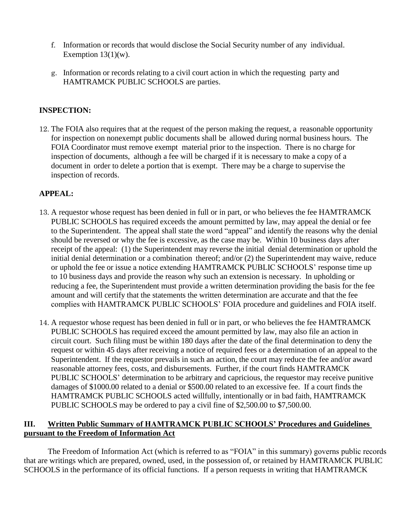- f. Information or records that would disclose the Social Security number of any individual. Exemption  $13(1)(w)$ .
- g. Information or records relating to a civil court action in which the requesting party and HAMTRAMCK PUBLIC SCHOOLS are parties.

# **INSPECTION:**

12. The FOIA also requires that at the request of the person making the request, a reasonable opportunity for inspection on nonexempt public documents shall be allowed during normal business hours. The FOIA Coordinator must remove exempt material prior to the inspection. There is no charge for inspection of documents, although a fee will be charged if it is necessary to make a copy of a document in order to delete a portion that is exempt. There may be a charge to supervise the inspection of records.

# **APPEAL:**

- 13. A requestor whose request has been denied in full or in part, or who believes the fee HAMTRAMCK PUBLIC SCHOOLS has required exceeds the amount permitted by law, may appeal the denial or fee to the Superintendent. The appeal shall state the word "appeal" and identify the reasons why the denial should be reversed or why the fee is excessive, as the case may be. Within 10 business days after receipt of the appeal: (1) the Superintendent may reverse the initial denial determination or uphold the initial denial determination or a combination thereof; and/or (2) the Superintendent may waive, reduce or uphold the fee or issue a notice extending HAMTRAMCK PUBLIC SCHOOLS' response time up to 10 business days and provide the reason why such an extension is necessary. In upholding or reducing a fee, the Superintendent must provide a written determination providing the basis for the fee amount and will certify that the statements the written determination are accurate and that the fee complies with HAMTRAMCK PUBLIC SCHOOLS' FOIA procedure and guidelines and FOIA itself.
- 14. A requestor whose request has been denied in full or in part, or who believes the fee HAMTRAMCK PUBLIC SCHOOLS has required exceed the amount permitted by law, may also file an action in circuit court. Such filing must be within 180 days after the date of the final determination to deny the request or within 45 days after receiving a notice of required fees or a determination of an appeal to the Superintendent. If the requestor prevails in such an action, the court may reduce the fee and/or award reasonable attorney fees, costs, and disbursements. Further, if the court finds HAMTRAMCK PUBLIC SCHOOLS' determination to be arbitrary and capricious, the requestor may receive punitive damages of \$1000.00 related to a denial or \$500.00 related to an excessive fee. If a court finds the HAMTRAMCK PUBLIC SCHOOLS acted willfully, intentionally or in bad faith, HAMTRAMCK PUBLIC SCHOOLS may be ordered to pay a civil fine of \$2,500.00 to \$7,500.00.

# **III. Written Public Summary of HAMTRAMCK PUBLIC SCHOOLS' Procedures and Guidelines pursuant to the Freedom of Information Act**

The Freedom of Information Act (which is referred to as "FOIA" in this summary) governs public records that are writings which are prepared, owned, used, in the possession of, or retained by HAMTRAMCK PUBLIC SCHOOLS in the performance of its official functions. If a person requests in writing that HAMTRAMCK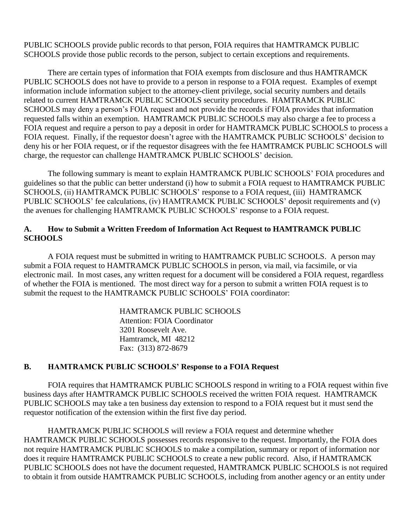PUBLIC SCHOOLS provide public records to that person, FOIA requires that HAMTRAMCK PUBLIC SCHOOLS provide those public records to the person, subject to certain exceptions and requirements.

There are certain types of information that FOIA exempts from disclosure and thus HAMTRAMCK PUBLIC SCHOOLS does not have to provide to a person in response to a FOIA request. Examples of exempt information include information subject to the attorney-client privilege, social security numbers and details related to current HAMTRAMCK PUBLIC SCHOOLS security procedures. HAMTRAMCK PUBLIC SCHOOLS may deny a person's FOIA request and not provide the records if FOIA provides that information requested falls within an exemption. HAMTRAMCK PUBLIC SCHOOLS may also charge a fee to process a FOIA request and require a person to pay a deposit in order for HAMTRAMCK PUBLIC SCHOOLS to process a FOIA request. Finally, if the requestor doesn't agree with the HAMTRAMCK PUBLIC SCHOOLS' decision to deny his or her FOIA request, or if the requestor disagrees with the fee HAMTRAMCK PUBLIC SCHOOLS will charge, the requestor can challenge HAMTRAMCK PUBLIC SCHOOLS' decision.

The following summary is meant to explain HAMTRAMCK PUBLIC SCHOOLS' FOIA procedures and guidelines so that the public can better understand (i) how to submit a FOIA request to HAMTRAMCK PUBLIC SCHOOLS, (ii) HAMTRAMCK PUBLIC SCHOOLS' response to a FOIA request, (iii) HAMTRAMCK PUBLIC SCHOOLS' fee calculations, (iv) HAMTRAMCK PUBLIC SCHOOLS' deposit requirements and (v) the avenues for challenging HAMTRAMCK PUBLIC SCHOOLS' response to a FOIA request.

#### **A. How to Submit a Written Freedom of Information Act Request to HAMTRAMCK PUBLIC SCHOOLS**

A FOIA request must be submitted in writing to HAMTRAMCK PUBLIC SCHOOLS. A person may submit a FOIA request to HAMTRAMCK PUBLIC SCHOOLS in person, via mail, via facsimile, or via electronic mail. In most cases, any written request for a document will be considered a FOIA request, regardless of whether the FOIA is mentioned. The most direct way for a person to submit a written FOIA request is to submit the request to the HAMTRAMCK PUBLIC SCHOOLS' FOIA coordinator:

> HAMTRAMCK PUBLIC SCHOOLS Attention: FOIA Coordinator 3201 Roosevelt Ave. Hamtramck, MI 48212 Fax: (313) 872-8679

# **B. HAMTRAMCK PUBLIC SCHOOLS' Response to a FOIA Request**

FOIA requires that HAMTRAMCK PUBLIC SCHOOLS respond in writing to a FOIA request within five business days after HAMTRAMCK PUBLIC SCHOOLS received the written FOIA request. HAMTRAMCK PUBLIC SCHOOLS may take a ten business day extension to respond to a FOIA request but it must send the requestor notification of the extension within the first five day period.

HAMTRAMCK PUBLIC SCHOOLS will review a FOIA request and determine whether HAMTRAMCK PUBLIC SCHOOLS possesses records responsive to the request. Importantly, the FOIA does not require HAMTRAMCK PUBLIC SCHOOLS to make a compilation, summary or report of information nor does it require HAMTRAMCK PUBLIC SCHOOLS to create a new public record. Also, if HAMTRAMCK PUBLIC SCHOOLS does not have the document requested, HAMTRAMCK PUBLIC SCHOOLS is not required to obtain it from outside HAMTRAMCK PUBLIC SCHOOLS, including from another agency or an entity under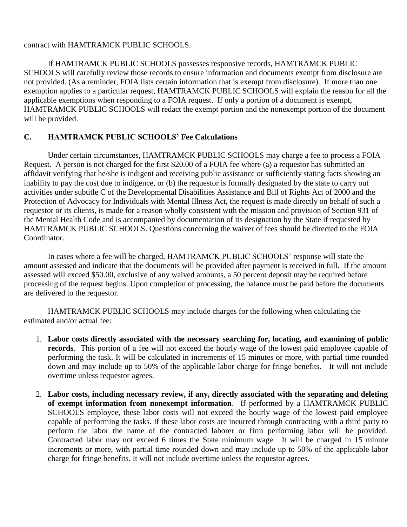#### contract with HAMTRAMCK PUBLIC SCHOOLS.

If HAMTRAMCK PUBLIC SCHOOLS possesses responsive records, HAMTRAMCK PUBLIC SCHOOLS will carefully review those records to ensure information and documents exempt from disclosure are not provided. (As a reminder, FOIA lists certain information that is exempt from disclosure). If more than one exemption applies to a particular request, HAMTRAMCK PUBLIC SCHOOLS will explain the reason for all the applicable exemptions when responding to a FOIA request. If only a portion of a document is exempt, HAMTRAMCK PUBLIC SCHOOLS will redact the exempt portion and the nonexempt portion of the document will be provided.

# **C. HAMTRAMCK PUBLIC SCHOOLS' Fee Calculations**

Under certain circumstances, HAMTRAMCK PUBLIC SCHOOLS may charge a fee to process a FOIA Request. A person is not charged for the first \$20.00 of a FOIA fee where (a) a requestor has submitted an affidavit verifying that he/she is indigent and receiving public assistance or sufficiently stating facts showing an inability to pay the cost due to indigence, or (b) the requestor is formally designated by the state to carry out activities under subtitle C of the Developmental Disabilities Assistance and Bill of Rights Act of 2000 and the Protection of Advocacy for Individuals with Mental Illness Act, the request is made directly on behalf of such a requestor or its clients, is made for a reason wholly consistent with the mission and provision of Section 931 of the Mental Health Code and is accompanied by documentation of its designation by the State if requested by HAMTRAMCK PUBLIC SCHOOLS. Questions concerning the waiver of fees should be directed to the FOIA Coordinator.

In cases where a fee will be charged, HAMTRAMCK PUBLIC SCHOOLS' response will state the amount assessed and indicate that the documents will be provided after payment is received in full. If the amount assessed will exceed \$50.00, exclusive of any waived amounts, a 50 percent deposit may be required before processing of the request begins. Upon completion of processing, the balance must be paid before the documents are delivered to the requestor.

HAMTRAMCK PUBLIC SCHOOLS may include charges for the following when calculating the estimated and/or actual fee:

- 1. **Labor costs directly associated with the necessary searching for, locating, and examining of public records**. This portion of a fee will not exceed the hourly wage of the lowest paid employee capable of performing the task. It will be calculated in increments of 15 minutes or more, with partial time rounded down and may include up to 50% of the applicable labor charge for fringe benefits. It will not include overtime unless requestor agrees.
- 2. **Labor costs, including necessary review, if any, directly associated with the separating and deleting of exempt information from nonexempt information**. If performed by a HAMTRAMCK PUBLIC SCHOOLS employee, these labor costs will not exceed the hourly wage of the lowest paid employee capable of performing the tasks. If these labor costs are incurred through contracting with a third party to perform the labor the name of the contracted laborer or firm performing labor will be provided. Contracted labor may not exceed 6 times the State minimum wage. It will be charged in 15 minute increments or more, with partial time rounded down and may include up to 50% of the applicable labor charge for fringe benefits. It will not include overtime unless the requestor agrees.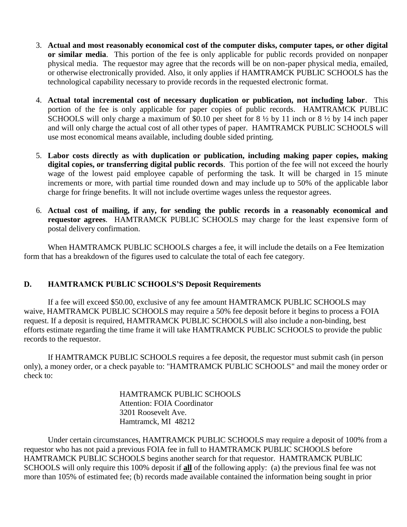- 3. **Actual and most reasonably economical cost of the computer disks, computer tapes, or other digital or similar media**. This portion of the fee is only applicable for public records provided on nonpaper physical media. The requestor may agree that the records will be on non-paper physical media, emailed, or otherwise electronically provided. Also, it only applies if HAMTRAMCK PUBLIC SCHOOLS has the technological capability necessary to provide records in the requested electronic format.
- 4. **Actual total incremental cost of necessary duplication or publication, not including labor**. This portion of the fee is only applicable for paper copies of public records. HAMTRAMCK PUBLIC SCHOOLS will only charge a maximum of \$0.10 per sheet for 8  $\frac{1}{2}$  by 11 inch or 8  $\frac{1}{2}$  by 14 inch paper and will only charge the actual cost of all other types of paper. HAMTRAMCK PUBLIC SCHOOLS will use most economical means available, including double sided printing.
- 5. **Labor costs directly as with duplication or publication, including making paper copies, making digital copies, or transferring digital public records**. This portion of the fee will not exceed the hourly wage of the lowest paid employee capable of performing the task. It will be charged in 15 minute increments or more, with partial time rounded down and may include up to 50% of the applicable labor charge for fringe benefits. It will not include overtime wages unless the requestor agrees.
- 6. **Actual cost of mailing, if any, for sending the public records in a reasonably economical and requestor agrees**. HAMTRAMCK PUBLIC SCHOOLS may charge for the least expensive form of postal delivery confirmation.

When HAMTRAMCK PUBLIC SCHOOLS charges a fee, it will include the details on a Fee Itemization form that has a breakdown of the figures used to calculate the total of each fee category.

# **D. HAMTRAMCK PUBLIC SCHOOLS'S Deposit Requirements**

If a fee will exceed \$50.00, exclusive of any fee amount HAMTRAMCK PUBLIC SCHOOLS may waive, HAMTRAMCK PUBLIC SCHOOLS may require a 50% fee deposit before it begins to process a FOIA request. If a deposit is required, HAMTRAMCK PUBLIC SCHOOLS will also include a non-binding, best efforts estimate regarding the time frame it will take HAMTRAMCK PUBLIC SCHOOLS to provide the public records to the requestor.

If HAMTRAMCK PUBLIC SCHOOLS requires a fee deposit, the requestor must submit cash (in person only), a money order, or a check payable to: "HAMTRAMCK PUBLIC SCHOOLS" and mail the money order or check to:

> HAMTRAMCK PUBLIC SCHOOLS Attention: FOIA Coordinator 3201 Roosevelt Ave. Hamtramck, MI 48212

Under certain circumstances, HAMTRAMCK PUBLIC SCHOOLS may require a deposit of 100% from a requestor who has not paid a previous FOIA fee in full to HAMTRAMCK PUBLIC SCHOOLS before HAMTRAMCK PUBLIC SCHOOLS begins another search for that requestor. HAMTRAMCK PUBLIC SCHOOLS will only require this 100% deposit if **all** of the following apply: (a) the previous final fee was not more than 105% of estimated fee; (b) records made available contained the information being sought in prior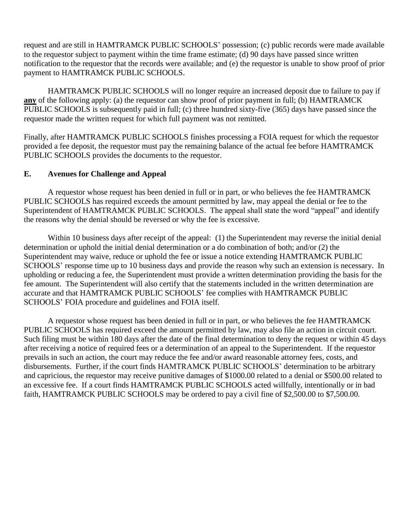request and are still in HAMTRAMCK PUBLIC SCHOOLS' possession; (c) public records were made available to the requestor subject to payment within the time frame estimate; (d) 90 days have passed since written notification to the requestor that the records were available; and (e) the requestor is unable to show proof of prior payment to HAMTRAMCK PUBLIC SCHOOLS.

HAMTRAMCK PUBLIC SCHOOLS will no longer require an increased deposit due to failure to pay if **any** of the following apply: (a) the requestor can show proof of prior payment in full; (b) HAMTRAMCK PUBLIC SCHOOLS is subsequently paid in full; (c) three hundred sixty-five (365) days have passed since the requestor made the written request for which full payment was not remitted.

Finally, after HAMTRAMCK PUBLIC SCHOOLS finishes processing a FOIA request for which the requestor provided a fee deposit, the requestor must pay the remaining balance of the actual fee before HAMTRAMCK PUBLIC SCHOOLS provides the documents to the requestor.

#### **E. Avenues for Challenge and Appeal**

A requestor whose request has been denied in full or in part, or who believes the fee HAMTRAMCK PUBLIC SCHOOLS has required exceeds the amount permitted by law, may appeal the denial or fee to the Superintendent of HAMTRAMCK PUBLIC SCHOOLS. The appeal shall state the word "appeal" and identify the reasons why the denial should be reversed or why the fee is excessive.

Within 10 business days after receipt of the appeal: (1) the Superintendent may reverse the initial denial determination or uphold the initial denial determination or a do combination of both; and/or (2) the Superintendent may waive, reduce or uphold the fee or issue a notice extending HAMTRAMCK PUBLIC SCHOOLS' response time up to 10 business days and provide the reason why such an extension is necessary. In upholding or reducing a fee, the Superintendent must provide a written determination providing the basis for the fee amount. The Superintendent will also certify that the statements included in the written determination are accurate and that HAMTRAMCK PUBLIC SCHOOLS' fee complies with HAMTRAMCK PUBLIC SCHOOLS' FOIA procedure and guidelines and FOIA itself.

A requestor whose request has been denied in full or in part, or who believes the fee HAMTRAMCK PUBLIC SCHOOLS has required exceed the amount permitted by law, may also file an action in circuit court. Such filing must be within 180 days after the date of the final determination to deny the request or within 45 days after receiving a notice of required fees or a determination of an appeal to the Superintendent. If the requestor prevails in such an action, the court may reduce the fee and/or award reasonable attorney fees, costs, and disbursements. Further, if the court finds HAMTRAMCK PUBLIC SCHOOLS' determination to be arbitrary and capricious, the requestor may receive punitive damages of \$1000.00 related to a denial or \$500.00 related to an excessive fee. If a court finds HAMTRAMCK PUBLIC SCHOOLS acted willfully, intentionally or in bad faith, HAMTRAMCK PUBLIC SCHOOLS may be ordered to pay a civil fine of \$2,500.00 to \$7,500.00.